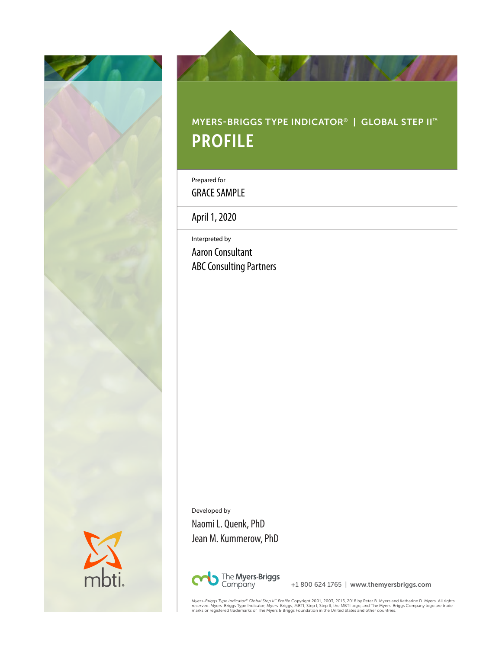



# MYERS-BRIGGS TYPE INDICATOR® | GLOBAL STEP II™ PROFILE

Prepared for

GRACE SAMPLE

April 1, 2020

Interpreted by Aaron Consultant ABC Consulting Partners

Developed by Naomi L. Quenk, PhD Jean M. Kummerow, PhD



+1 800 624 1765 | www.themyersbriggs.com

*Myers-Briggs Type Indicator<sup>e</sup> Global Step II'" Profile Copyrigh*t 2001, 2003, 2015, 2018 by Peter B. Myers and Katharine D. Myers. All rights<br>reserved. Myers-Briggs Type Indicator, Myers-Briggs, MBTI, Step I, Step II, th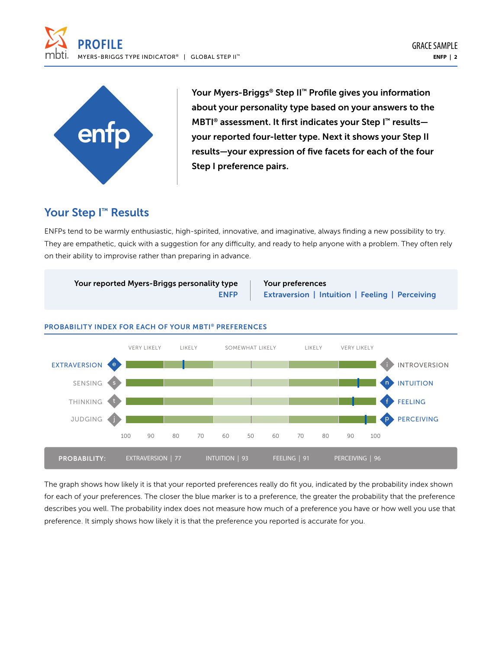



Your Myers-Briggs® Step II™ Profile gives you information about your personality type based on your answers to the MBTI<sup>®</sup> assessment. It first indicates your Step I<sup>™</sup> resultsyour reported four-letter type. Next it shows your Step II results—your expression of five facets for each of the four Step I preference pairs.

### Your Step I<sup>™</sup> Results

ENFPs tend to be warmly enthusiastic, high-spirited, innovative, and imaginative, always finding a new possibility to try. They are empathetic, quick with a suggestion for any difficulty, and ready to help anyone with a problem. They often rely on their ability to improvise rather than preparing in advance.



### The graph shows how likely it is that your reported preferences really do fit you, indicated by the probability index shown for each of your preferences. The closer the blue marker is to a preference, the greater the probability that the preference describes you well. The probability index does not measure how much of a preference you have or how well you use that preference. It simply shows how likely it is that the preference you reported is accurate for you.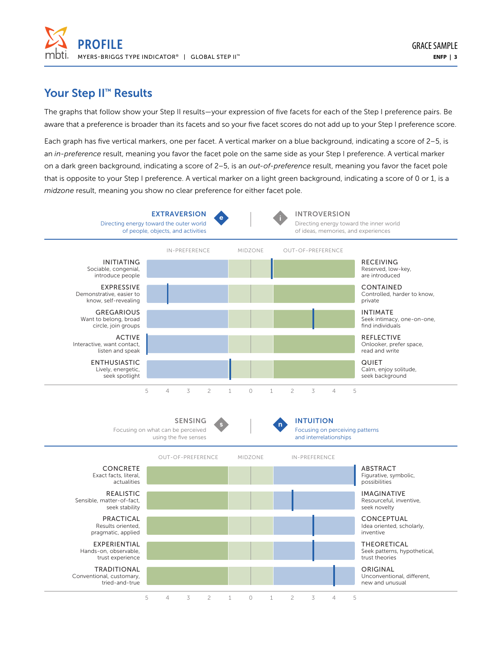

### Your Step II<sup>™</sup> Results

The graphs that follow show your Step II results—your expression of five facets for each of the Step I preference pairs. Be aware that a preference is broader than its facets and so your five facet scores do not add up to your Step I preference score.

Each graph has five vertical markers, one per facet. A vertical marker on a blue background, indicating a score of 2–5, is an *in-preference* result, meaning you favor the facet pole on the same side as your Step I preference. A vertical marker on a dark green background, indicating a score of 2–5, is an *out-of-preference* result, meaning you favor the facet pole that is opposite to your Step I preference. A vertical marker on a light green background, indicating a score of 0 or 1, is a *midzone* result, meaning you show no clear preference for either facet pole.

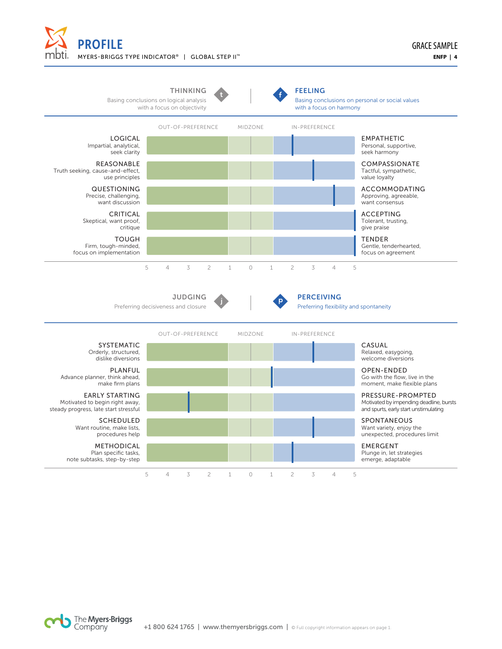